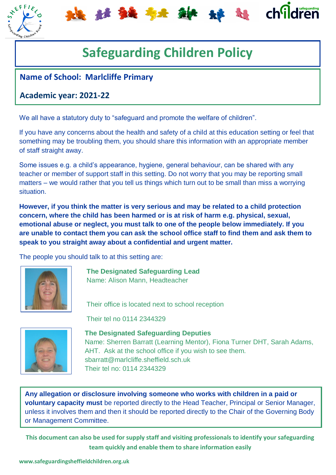

# **Safeguarding Children Policy**

出社独存者科学 计时间

### **Name of School: Marlcliffe Primary**

### **Academic year: 2021-22**

We all have a statutory duty to "safeguard and promote the welfare of children".

If you have any concerns about the health and safety of a child at this education setting or feel that something may be troubling them, you should share this information with an appropriate member of staff straight away.

Some issues e.g. a child's appearance, hygiene, general behaviour, can be shared with any teacher or member of support staff in this setting. Do not worry that you may be reporting small matters – we would rather that you tell us things which turn out to be small than miss a worrying situation.

**However, if you think the matter is very serious and may be related to a child protection concern, where the child has been harmed or is at risk of harm e.g. physical, sexual, emotional abuse or neglect, you must talk to one of the people below immediately. If you are unable to contact them you can ask the school office staff to find them and ask them to speak to you straight away about a confidential and urgent matter.**

The people you should talk to at this setting are:



**The Designated Safeguarding Lead** Name: Alison Mann, Headteacher

Their office is located next to school reception

Their tel no 0114 2344329



**The Designated Safeguarding Deputies** Name: Sherren Barratt (Learning Mentor), Fiona Turner DHT, Sarah Adams, AHT. Ask at the school office if you wish to see them. sbarratt@marlcliffe.sheffield.sch.uk Their tel no: 0114 2344329

oto here **voluntary capacity must** be reported directly to the Head Teacher, Principal or Senior Manager, **Any allegation or disclosure involving someone who works with children in a paid or**  unless it involves them and then it should be reported directly to the Chair of the Governing Body or Management Committee.

**This document can also be used for supply staff and visiting professionals to identify your safeguarding team quickly and enable them to share information easily**